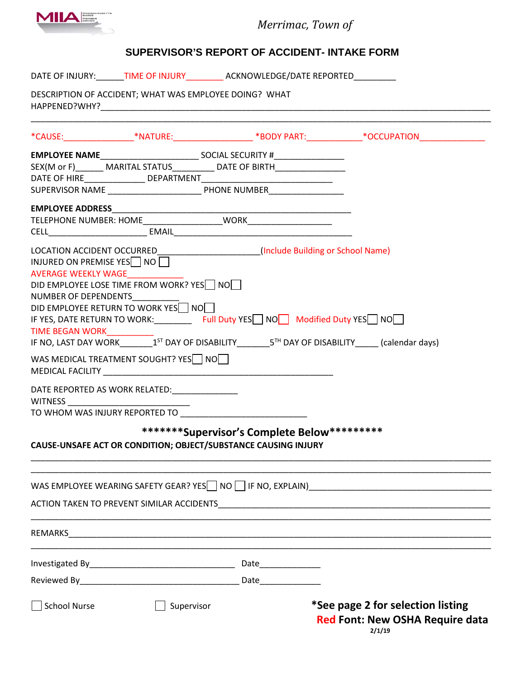

*Merrimac, Town of*

## **SUPERVISOR'S REPORT OF ACCIDENT- INTAKE FORM**

|                                  |                                                        | DATE OF INJURY: TIME OF INJURY ACKNOWLEDGE/DATE REPORTED                                                        |                                                                                                                                                                                                                                |
|----------------------------------|--------------------------------------------------------|-----------------------------------------------------------------------------------------------------------------|--------------------------------------------------------------------------------------------------------------------------------------------------------------------------------------------------------------------------------|
|                                  | DESCRIPTION OF ACCIDENT; WHAT WAS EMPLOYEE DOING? WHAT |                                                                                                                 |                                                                                                                                                                                                                                |
|                                  |                                                        |                                                                                                                 | *CAUSE:_______________________*NATURE:_______________________*BODY PART:______________*OCCUPATION_____________                                                                                                                 |
|                                  |                                                        |                                                                                                                 |                                                                                                                                                                                                                                |
|                                  |                                                        |                                                                                                                 |                                                                                                                                                                                                                                |
|                                  |                                                        |                                                                                                                 |                                                                                                                                                                                                                                |
|                                  |                                                        |                                                                                                                 |                                                                                                                                                                                                                                |
|                                  |                                                        |                                                                                                                 |                                                                                                                                                                                                                                |
|                                  |                                                        |                                                                                                                 |                                                                                                                                                                                                                                |
|                                  |                                                        |                                                                                                                 |                                                                                                                                                                                                                                |
| INJURED ON PREMISE YES NO        |                                                        | LOCATION ACCIDENT OCCURRED______________________(Include Building or School Name)                               |                                                                                                                                                                                                                                |
| AVERAGE WEEKLY WAGE_____________ |                                                        |                                                                                                                 |                                                                                                                                                                                                                                |
|                                  | DID EMPLOYEE LOSE TIME FROM WORK? YES NO               |                                                                                                                 |                                                                                                                                                                                                                                |
| NUMBER OF DEPENDENTS             |                                                        |                                                                                                                 |                                                                                                                                                                                                                                |
|                                  | DID EMPLOYEE RETURN TO WORK YES NO                     |                                                                                                                 |                                                                                                                                                                                                                                |
| TIME BEGAN WORK__________        |                                                        |                                                                                                                 | IF YES, DATE RETURN TO WORK:____________ Full Duty YES NO Modified Duty YES NO                                                                                                                                                 |
|                                  |                                                        |                                                                                                                 | IF NO, LAST DAY WORK 15 <sup>1</sup> DAY OF DISABILITY 5 <sup>TH</sup> DAY OF DISABILITY (calendar days)                                                                                                                       |
|                                  | WAS MEDICAL TREATMENT SOUGHT? YES NO                   |                                                                                                                 |                                                                                                                                                                                                                                |
|                                  | DATE REPORTED AS WORK RELATED:                         |                                                                                                                 |                                                                                                                                                                                                                                |
|                                  |                                                        |                                                                                                                 |                                                                                                                                                                                                                                |
|                                  |                                                        | ********Supervisor's Complete Below**********<br>CAUSE-UNSAFE ACT OR CONDITION; OBJECT/SUBSTANCE CAUSING INJURY |                                                                                                                                                                                                                                |
|                                  |                                                        |                                                                                                                 | WAS EMPLOYEE WEARING SAFETY GEAR? YES $\Box$ NO $\Box$ IF NO, EXPLAIN)                                                                                                                                                         |
|                                  |                                                        |                                                                                                                 | ACTION TAKEN TO PREVENT SIMILAR ACCIDENTS NOTIFIED AND THE SERVER SERVER SERVER SERVER SERVER SERVER SERVER SERVER SERVER SERVER SERVER SERVER SERVER SERVER SERVER SERVER SERVER SERVER SERVER SERVER SERVER SERVER SERVER SE |
|                                  |                                                        | REMARKS <b>Example 2008 REMARKS</b>                                                                             |                                                                                                                                                                                                                                |
|                                  |                                                        |                                                                                                                 |                                                                                                                                                                                                                                |
|                                  |                                                        |                                                                                                                 |                                                                                                                                                                                                                                |
| <b>School Nurse</b>              | Supervisor                                             |                                                                                                                 | *See page 2 for selection listing<br><b>Red Font: New OSHA Require data</b><br>2/1/19                                                                                                                                          |